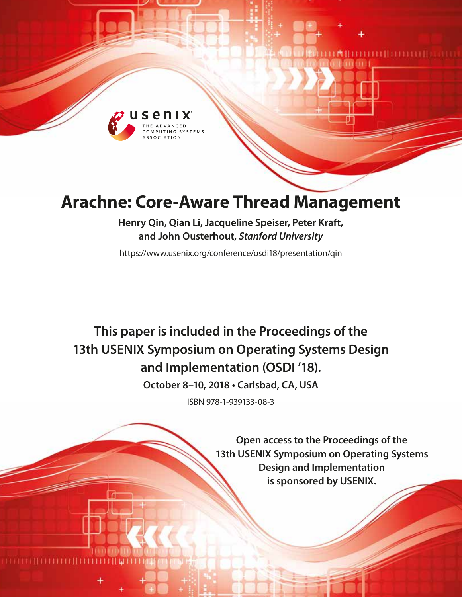

# **Arachne: Core-Aware Thread Management**

**Henry Qin, Qian Li, Jacqueline Speiser, Peter Kraft, and John Ousterhout,** *Stanford University*

https://www.usenix.org/conference/osdi18/presentation/qin

## **This paper is included in the Proceedings of the 13th USENIX Symposium on Operating Systems Design and Implementation (OSDI '18).**

**October 8–10, 2018 • Carlsbad, CA, USA**

ISBN 978-1-939133-08-3

**Open access to the Proceedings of the 13th USENIX Symposium on Operating Systems Design and Implementation is sponsored by USENIX.**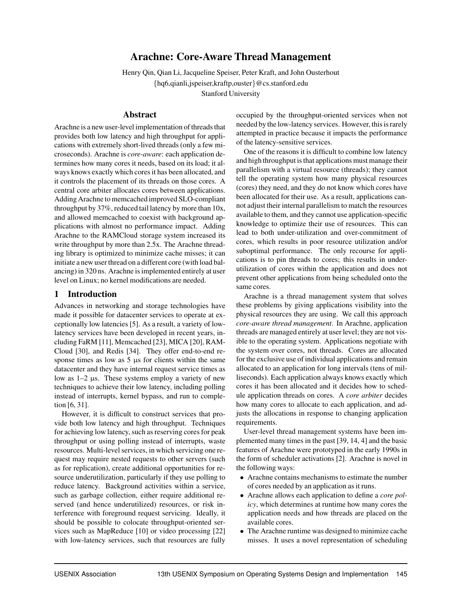## Arachne: Core-Aware Thread Management

Henry Qin, Qian Li, Jacqueline Speiser, Peter Kraft, and John Ousterhout {hq6,qianli,jspeiser,kraftp,ouster}@cs.stanford.edu Stanford University

## Abstract

Arachne is a new user-level implementation of threads that provides both low latency and high throughput for applications with extremely short-lived threads (only a few microseconds). Arachne is *core-aware*: each application determines how many cores it needs, based on its load; it always knows exactly which cores it has been allocated, and it controls the placement of its threads on those cores. A central core arbiter allocates cores between applications. Adding Arachne to memcached improved SLO-compliant throughput by 37%, reduced tail latency by more than 10x, and allowed memcached to coexist with background applications with almost no performance impact. Adding Arachne to the RAMCloud storage system increased its write throughput by more than 2.5x. The Arachne threading library is optimized to minimize cache misses; it can initiate a new user thread on a different core (with load balancing) in 320 ns. Arachne is implemented entirely at user level on Linux; no kernel modifications are needed.

## 1 Introduction

Advances in networking and storage technologies have made it possible for datacenter services to operate at exceptionally low latencies [5]. As a result, a variety of lowlatency services have been developed in recent years, including FaRM [11], Memcached [23], MICA [20], RAM-Cloud [30], and Redis [34]. They offer end-to-end response times as low as  $5 \mu s$  for clients within the same datacenter and they have internal request service times as low as  $1-2$   $\mu$ s. These systems employ a variety of new techniques to achieve their low latency, including polling instead of interrupts, kernel bypass, and run to completion [6, 31].

However, it is difficult to construct services that provide both low latency and high throughput. Techniques for achieving low latency, such as reserving cores for peak throughput or using polling instead of interrupts, waste resources. Multi-level services, in which servicing one request may require nested requests to other servers (such as for replication), create additional opportunities for resource underutilization, particularly if they use polling to reduce latency. Background activities within a service, such as garbage collection, either require additional reserved (and hence underutilized) resources, or risk interference with foreground request servicing. Ideally, it should be possible to colocate throughput-oriented services such as MapReduce [10] or video processing [22] with low-latency services, such that resources are fully occupied by the throughput-oriented services when not needed by the low-latency services. However, this is rarely attempted in practice because it impacts the performance of the latency-sensitive services.

One of the reasons it is difficult to combine low latency and high throughput is that applications must manage their parallelism with a virtual resource (threads); they cannot tell the operating system how many physical resources (cores) they need, and they do not know which cores have been allocated for their use. As a result, applications cannot adjust their internal parallelism to match the resources available to them, and they cannot use application-specific knowledge to optimize their use of resources. This can lead to both under-utilization and over-commitment of cores, which results in poor resource utilization and/or suboptimal performance. The only recourse for applications is to pin threads to cores; this results in underutilization of cores within the application and does not prevent other applications from being scheduled onto the same cores.

Arachne is a thread management system that solves these problems by giving applications visibility into the physical resources they are using. We call this approach *core-aware thread management*. In Arachne, application threads are managed entirely at user level; they are not visible to the operating system. Applications negotiate with the system over cores, not threads. Cores are allocated for the exclusive use of individual applications and remain allocated to an application for long intervals (tens of milliseconds). Each application always knows exactly which cores it has been allocated and it decides how to schedule application threads on cores. A *core arbiter* decides how many cores to allocate to each application, and adjusts the allocations in response to changing application requirements.

User-level thread management systems have been implemented many times in the past [39, 14, 4] and the basic features of Arachne were prototyped in the early 1990s in the form of scheduler activations [2]. Arachne is novel in the following ways:

- Arachne contains mechanisms to estimate the number of cores needed by an application as it runs.
- Arachne allows each application to define a *core policy*, which determines at runtime how many cores the application needs and how threads are placed on the available cores.
- The Arachne runtime was designed to minimize cache misses. It uses a novel representation of scheduling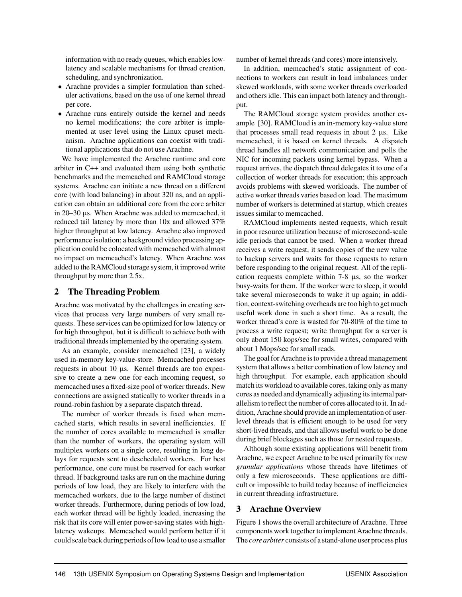information with no ready queues, which enables lowlatency and scalable mechanisms for thread creation, scheduling, and synchronization.

- Arachne provides a simpler formulation than scheduler activations, based on the use of one kernel thread per core.
- Arachne runs entirely outside the kernel and needs no kernel modifications; the core arbiter is implemented at user level using the Linux cpuset mechanism. Arachne applications can coexist with traditional applications that do not use Arachne.

We have implemented the Arachne runtime and core arbiter in C++ and evaluated them using both synthetic benchmarks and the memcached and RAMCloud storage systems. Arachne can initiate a new thread on a different core (with load balancing) in about 320 ns, and an application can obtain an additional core from the core arbiter in 20–30 µs. When Arachne was added to memcached, it reduced tail latency by more than 10x and allowed 37% higher throughput at low latency. Arachne also improved performance isolation; a background video processing application could be colocated with memcached with almost no impact on memcached's latency. When Arachne was added to the RAMCloud storage system, it improved write throughput by more than 2.5x.

## 2 The Threading Problem

Arachne was motivated by the challenges in creating services that process very large numbers of very small requests. These services can be optimized for low latency or for high throughput, but it is difficult to achieve both with traditional threads implemented by the operating system.

As an example, consider memcached [23], a widely used in-memory key-value-store. Memcached processes requests in about 10 µs. Kernel threads are too expensive to create a new one for each incoming request, so memcached uses a fixed-size pool of worker threads. New connections are assigned statically to worker threads in a round-robin fashion by a separate dispatch thread.

The number of worker threads is fixed when memcached starts, which results in several inefficiencies. If the number of cores available to memcached is smaller than the number of workers, the operating system will multiplex workers on a single core, resulting in long delays for requests sent to descheduled workers. For best performance, one core must be reserved for each worker thread. If background tasks are run on the machine during periods of low load, they are likely to interfere with the memcached workers, due to the large number of distinct worker threads. Furthermore, during periods of low load, each worker thread will be lightly loaded, increasing the risk that its core will enter power-saving states with highlatency wakeups. Memcached would perform better if it could scale back during periods of low load to use a smaller

number of kernel threads (and cores) more intensively.

In addition, memcached's static assignment of connections to workers can result in load imbalances under skewed workloads, with some worker threads overloaded and others idle. This can impact both latency and throughput.

The RAMCloud storage system provides another example [30]. RAMCloud is an in-memory key-value store that processes small read requests in about  $2 \mu s$ . Like memcached, it is based on kernel threads. A dispatch thread handles all network communication and polls the NIC for incoming packets using kernel bypass. When a request arrives, the dispatch thread delegates it to one of a collection of worker threads for execution; this approach avoids problems with skewed workloads. The number of active worker threads varies based on load. The maximum number of workers is determined at startup, which creates issues similar to memcached.

RAMCloud implements nested requests, which result in poor resource utilization because of microsecond-scale idle periods that cannot be used. When a worker thread receives a write request, it sends copies of the new value to backup servers and waits for those requests to return before responding to the original request. All of the replication requests complete within 7-8 µs, so the worker busy-waits for them. If the worker were to sleep, it would take several microseconds to wake it up again; in addition, context-switching overheads are too high to get much useful work done in such a short time. As a result, the worker thread's core is wasted for 70-80% of the time to process a write request; write throughput for a server is only about 150 kops/sec for small writes, compared with about 1 Mops/sec for small reads.

The goal for Arachne is to provide a thread management system that allows a better combination of low latency and high throughput. For example, each application should match its workload to available cores, taking only as many cores as needed and dynamically adjusting its internal parallelism to reflect the number of cores allocated to it. In addition, Arachne should provide an implementation of userlevel threads that is efficient enough to be used for very short-lived threads, and that allows useful work to be done during brief blockages such as those for nested requests.

Although some existing applications will benefit from Arachne, we expect Arachne to be used primarily for new *granular applications* whose threads have lifetimes of only a few microseconds. These applications are difficult or impossible to build today because of inefficiencies in current threading infrastructure.

## 3 Arachne Overview

Figure 1 shows the overall architecture of Arachne. Three components work together to implement Arachne threads. The *core arbiter* consists of a stand-alone user process plus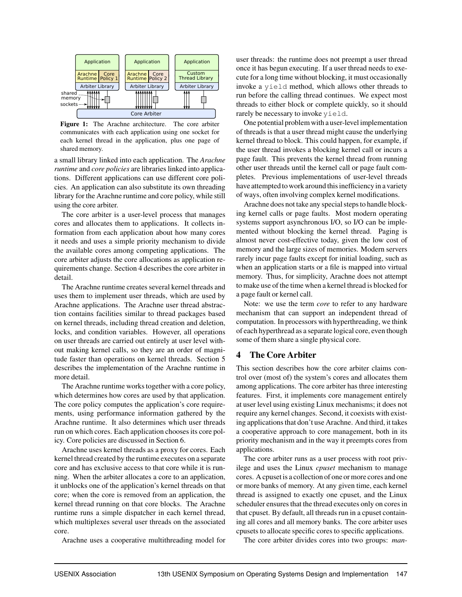

Figure 1: The Arachne architecture. The core arbiter communicates with each application using one socket for each kernel thread in the application, plus one page of shared memory.

a small library linked into each application. The *Arachne runtime* and *core policies* are libraries linked into applications. Different applications can use different core policies. An application can also substitute its own threading library for the Arachne runtime and core policy, while still using the core arbiter.

The core arbiter is a user-level process that manages cores and allocates them to applications. It collects information from each application about how many cores it needs and uses a simple priority mechanism to divide the available cores among competing applications. The core arbiter adjusts the core allocations as application requirements change. Section 4 describes the core arbiter in detail.

The Arachne runtime creates several kernel threads and uses them to implement user threads, which are used by Arachne applications. The Arachne user thread abstraction contains facilities similar to thread packages based on kernel threads, including thread creation and deletion, locks, and condition variables. However, all operations on user threads are carried out entirely at user level without making kernel calls, so they are an order of magnitude faster than operations on kernel threads. Section 5 describes the implementation of the Arachne runtime in more detail.

The Arachne runtime works together with a core policy, which determines how cores are used by that application. The core policy computes the application's core requirements, using performance information gathered by the Arachne runtime. It also determines which user threads run on which cores. Each application chooses its core policy. Core policies are discussed in Section 6.

Arachne uses kernel threads as a proxy for cores. Each kernel thread created by the runtime executes on a separate core and has exclusive access to that core while it is running. When the arbiter allocates a core to an application, it unblocks one of the application's kernel threads on that core; when the core is removed from an application, the kernel thread running on that core blocks. The Arachne runtime runs a simple dispatcher in each kernel thread, which multiplexes several user threads on the associated core.

Arachne uses a cooperative multithreading model for

user threads: the runtime does not preempt a user thread once it has begun executing. If a user thread needs to execute for a long time without blocking, it must occasionally invoke a yield method, which allows other threads to run before the calling thread continues. We expect most threads to either block or complete quickly, so it should rarely be necessary to invoke yield.

One potential problem with a user-level implementation of threads is that a user thread might cause the underlying kernel thread to block. This could happen, for example, if the user thread invokes a blocking kernel call or incurs a page fault. This prevents the kernel thread from running other user threads until the kernel call or page fault completes. Previous implementations of user-level threads have attempted to work around this inefficiency in a variety of ways, often involving complex kernel modifications.

Arachne does not take any special steps to handle blocking kernel calls or page faults. Most modern operating systems support asynchronous I/O, so I/O can be implemented without blocking the kernel thread. Paging is almost never cost-effective today, given the low cost of memory and the large sizes of memories. Modern servers rarely incur page faults except for initial loading, such as when an application starts or a file is mapped into virtual memory. Thus, for simplicity, Arachne does not attempt to make use of the time when a kernel thread is blocked for a page fault or kernel call.

Note: we use the term *core* to refer to any hardware mechanism that can support an independent thread of computation. In processors with hyperthreading, we think of each hyperthread as a separate logical core, even though some of them share a single physical core.

#### 4 The Core Arbiter

This section describes how the core arbiter claims control over (most of) the system's cores and allocates them among applications. The core arbiter has three interesting features. First, it implements core management entirely at user level using existing Linux mechanisms; it does not require any kernel changes. Second, it coexists with existing applications that don't use Arachne. And third, it takes a cooperative approach to core management, both in its priority mechanism and in the way it preempts cores from applications.

The core arbiter runs as a user process with root privilege and uses the Linux *cpuset* mechanism to manage cores. A cpuset is a collection of one or more cores and one or more banks of memory. At any given time, each kernel thread is assigned to exactly one cpuset, and the Linux scheduler ensures that the thread executes only on cores in that cpuset. By default, all threads run in a cpuset containing all cores and all memory banks. The core arbiter uses cpusets to allocate specific cores to specific applications.

The core arbiter divides cores into two groups: *man-*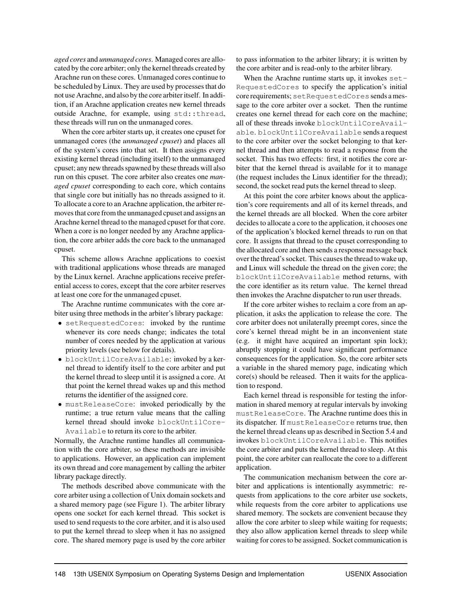*aged cores* and *unmanaged cores*. Managed cores are allocated by the core arbiter; only the kernel threads created by Arachne run on these cores. Unmanaged cores continue to be scheduled by Linux. They are used by processes that do not use Arachne, and also by the core arbiter itself. In addition, if an Arachne application creates new kernel threads outside Arachne, for example, using std::thread, these threads will run on the unmanaged cores.

When the core arbiter starts up, it creates one cpuset for unmanaged cores (the *unmanaged cpuset*) and places all of the system's cores into that set. It then assigns every existing kernel thread (including itself) to the unmanaged cpuset; any new threads spawned by these threads will also run on this cpuset. The core arbiter also creates one *managed cpuset* corresponding to each core, which contains that single core but initially has no threads assigned to it. To allocate a core to an Arachne application, the arbiter removes that core from the unmanaged cpuset and assigns an Arachne kernel thread to the managed cpuset for that core. When a core is no longer needed by any Arachne application, the core arbiter adds the core back to the unmanaged cpuset.

This scheme allows Arachne applications to coexist with traditional applications whose threads are managed by the Linux kernel. Arachne applications receive preferential access to cores, except that the core arbiter reserves at least one core for the unmanaged cpuset.

The Arachne runtime communicates with the core arbiter using three methods in the arbiter's library package:

- setRequestedCores: invoked by the runtime whenever its core needs change; indicates the total number of cores needed by the application at various priority levels (see below for details).
- blockUntilCoreAvailable: invoked by a kernel thread to identify itself to the core arbiter and put the kernel thread to sleep until it is assigned a core. At that point the kernel thread wakes up and this method returns the identifier of the assigned core.
- mustReleaseCore: invoked periodically by the runtime; a true return value means that the calling kernel thread should invoke blockUntilCore-Available to return its core to the arbiter.

Normally, the Arachne runtime handles all communication with the core arbiter, so these methods are invisible to applications. However, an application can implement its own thread and core management by calling the arbiter library package directly.

The methods described above communicate with the core arbiter using a collection of Unix domain sockets and a shared memory page (see Figure 1). The arbiter library opens one socket for each kernel thread. This socket is used to send requests to the core arbiter, and it is also used to put the kernel thread to sleep when it has no assigned core. The shared memory page is used by the core arbiter

to pass information to the arbiter library; it is written by the core arbiter and is read-only to the arbiter library.

When the Arachne runtime starts up, it invokes set-RequestedCores to specify the application's initial core requirements; setRequestedCores sends a message to the core arbiter over a socket. Then the runtime creates one kernel thread for each core on the machine; all of these threads invoke blockUntilCoreAvailable. blockUntilCoreAvailable sends a request to the core arbiter over the socket belonging to that kernel thread and then attempts to read a response from the socket. This has two effects: first, it notifies the core arbiter that the kernel thread is available for it to manage (the request includes the Linux identifier for the thread); second, the socket read puts the kernel thread to sleep.

At this point the core arbiter knows about the application's core requirements and all of its kernel threads, and the kernel threads are all blocked. When the core arbiter decides to allocate a core to the application, it chooses one of the application's blocked kernel threads to run on that core. It assigns that thread to the cpuset corresponding to the allocated core and then sends a response message back over the thread's socket. This causes the thread to wake up, and Linux will schedule the thread on the given core; the blockUntilCoreAvailable method returns, with the core identifier as its return value. The kernel thread then invokes the Arachne dispatcher to run user threads.

If the core arbiter wishes to reclaim a core from an application, it asks the application to release the core. The core arbiter does not unilaterally preempt cores, since the core's kernel thread might be in an inconvenient state (e.g. it might have acquired an important spin lock); abruptly stopping it could have significant performance consequences for the application. So, the core arbiter sets a variable in the shared memory page, indicating which core(s) should be released. Then it waits for the application to respond.

Each kernel thread is responsible for testing the information in shared memory at regular intervals by invoking mustReleaseCore. The Arachne runtime does this in its dispatcher. If mustReleaseCore returns true, then the kernel thread cleans up as described in Section 5.4 and invokes blockUntilCoreAvailable. This notifies the core arbiter and puts the kernel thread to sleep. At this point, the core arbiter can reallocate the core to a different application.

The communication mechanism between the core arbiter and applications is intentionally asymmetric: requests from applications to the core arbiter use sockets, while requests from the core arbiter to applications use shared memory. The sockets are convenient because they allow the core arbiter to sleep while waiting for requests; they also allow application kernel threads to sleep while waiting for cores to be assigned. Socket communication is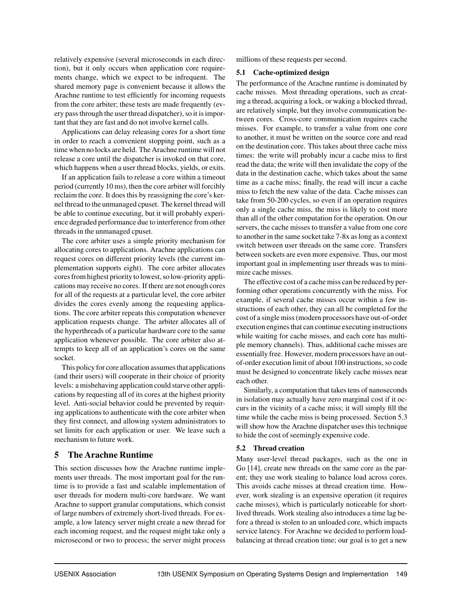relatively expensive (several microseconds in each direction), but it only occurs when application core requirements change, which we expect to be infrequent. The shared memory page is convenient because it allows the Arachne runtime to test efficiently for incoming requests from the core arbiter; these tests are made frequently (every pass through the user thread dispatcher), so it is important that they are fast and do not involve kernel calls.

Applications can delay releasing cores for a short time in order to reach a convenient stopping point, such as a time when no locks are held. The Arachne runtime will not release a core until the dispatcher is invoked on that core, which happens when a user thread blocks, yields, or exits.

If an application fails to release a core within a timeout period (currently 10 ms), then the core arbiter will forcibly reclaim the core. It does this by reassigning the core's kernel thread to the unmanaged cpuset. The kernel thread will be able to continue executing, but it will probably experience degraded performance due to interference from other threads in the unmanaged cpuset.

The core arbiter uses a simple priority mechanism for allocating cores to applications. Arachne applications can request cores on different priority levels (the current implementation supports eight). The core arbiter allocates cores from highest priority to lowest, so low-priority applications may receive no cores. If there are not enough cores for all of the requests at a particular level, the core arbiter divides the cores evenly among the requesting applications. The core arbiter repeats this computation whenever application requests change. The arbiter allocates all of the hyperthreads of a particular hardware core to the same application whenever possible. The core arbiter also attempts to keep all of an application's cores on the same socket.

This policy for core allocation assumes that applications (and their users) will cooperate in their choice of priority levels: a misbehaving application could starve other applications by requesting all of its cores at the highest priority level. Anti-social behavior could be prevented by requiring applications to authenticate with the core arbiter when they first connect, and allowing system administrators to set limits for each application or user. We leave such a mechanism to future work.

## 5 The Arachne Runtime

This section discusses how the Arachne runtime implements user threads. The most important goal for the runtime is to provide a fast and scalable implementation of user threads for modern multi-core hardware. We want Arachne to support granular computations, which consist of large numbers of extremely short-lived threads. For example, a low latency server might create a new thread for each incoming request, and the request might take only a microsecond or two to process; the server might process

millions of these requests per second.

#### 5.1 Cache-optimized design

The performance of the Arachne runtime is dominated by cache misses. Most threading operations, such as creating a thread, acquiring a lock, or waking a blocked thread, are relatively simple, but they involve communication between cores. Cross-core communication requires cache misses. For example, to transfer a value from one core to another, it must be written on the source core and read on the destination core. This takes about three cache miss times: the write will probably incur a cache miss to first read the data; the write will then invalidate the copy of the data in the destination cache, which takes about the same time as a cache miss; finally, the read will incur a cache miss to fetch the new value of the data. Cache misses can take from 50-200 cycles, so even if an operation requires only a single cache miss, the miss is likely to cost more than all of the other computation for the operation. On our servers, the cache misses to transfer a value from one core to another in the same socket take 7-8x as long as a context switch between user threads on the same core. Transfers between sockets are even more expensive. Thus, our most important goal in implementing user threads was to minimize cache misses.

The effective cost of a cache miss can be reduced by performing other operations concurrently with the miss. For example, if several cache misses occur within a few instructions of each other, they can all be completed for the cost of a single miss (modern processors have out-of-order execution engines that can continue executing instructions while waiting for cache misses, and each core has multiple memory channels). Thus, additional cache misses are essentially free. However, modern processors have an outof-order execution limit of about 100 instructions, so code must be designed to concentrate likely cache misses near each other.

Similarly, a computation that takes tens of nanoseconds in isolation may actually have zero marginal cost if it occurs in the vicinity of a cache miss; it will simply fill the time while the cache miss is being processed. Section 5.3 will show how the Arachne dispatcher uses this technique to hide the cost of seemingly expensive code.

## 5.2 Thread creation

Many user-level thread packages, such as the one in Go [14], create new threads on the same core as the parent; they use work stealing to balance load across cores. This avoids cache misses at thread creation time. However, work stealing is an expensive operation (it requires cache misses), which is particularly noticeable for shortlived threads. Work stealing also introduces a time lag before a thread is stolen to an unloaded core, which impacts service latency. For Arachne we decided to perform loadbalancing at thread creation time; our goal is to get a new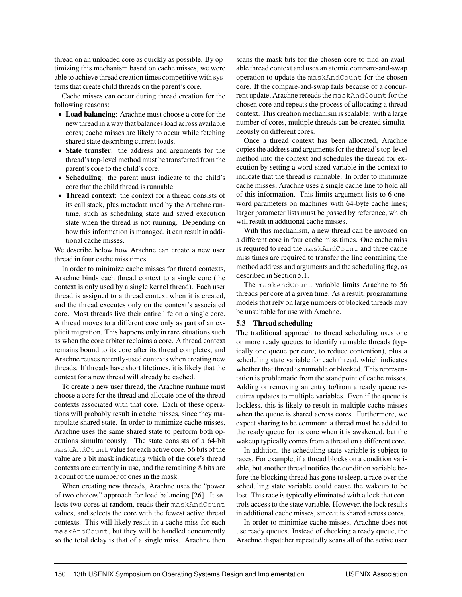thread on an unloaded core as quickly as possible. By optimizing this mechanism based on cache misses, we were able to achieve thread creation times competitive with systems that create child threads on the parent's core.

Cache misses can occur during thread creation for the following reasons:

- Load balancing: Arachne must choose a core for the new thread in a way that balances load across available cores; cache misses are likely to occur while fetching shared state describing current loads.
- State transfer: the address and arguments for the thread's top-level method must be transferred from the parent's core to the child's core.
- Scheduling: the parent must indicate to the child's core that the child thread is runnable.
- **Thread context**: the context for a thread consists of its call stack, plus metadata used by the Arachne runtime, such as scheduling state and saved execution state when the thread is not running. Depending on how this information is managed, it can result in additional cache misses.

We describe below how Arachne can create a new user thread in four cache miss times.

In order to minimize cache misses for thread contexts, Arachne binds each thread context to a single core (the context is only used by a single kernel thread). Each user thread is assigned to a thread context when it is created, and the thread executes only on the context's associated core. Most threads live their entire life on a single core. A thread moves to a different core only as part of an explicit migration. This happens only in rare situations such as when the core arbiter reclaims a core. A thread context remains bound to its core after its thread completes, and Arachne reuses recently-used contexts when creating new threads. If threads have short lifetimes, it is likely that the context for a new thread will already be cached.

To create a new user thread, the Arachne runtime must choose a core for the thread and allocate one of the thread contexts associated with that core. Each of these operations will probably result in cache misses, since they manipulate shared state. In order to minimize cache misses, Arachne uses the same shared state to perform both operations simultaneously. The state consists of a 64-bit maskAndCount value for each active core. 56 bits of the value are a bit mask indicating which of the core's thread contexts are currently in use, and the remaining 8 bits are a count of the number of ones in the mask.

When creating new threads, Arachne uses the "power of two choices" approach for load balancing [26]. It selects two cores at random, reads their maskAndCount values, and selects the core with the fewest active thread contexts. This will likely result in a cache miss for each maskAndCount, but they will be handled concurrently so the total delay is that of a single miss. Arachne then scans the mask bits for the chosen core to find an available thread context and uses an atomic compare-and-swap operation to update the maskAndCount for the chosen core. If the compare-and-swap fails because of a concurrent update, Arachne rereads the maskAndCount for the chosen core and repeats the process of allocating a thread context. This creation mechanism is scalable: with a large number of cores, multiple threads can be created simultaneously on different cores.

Once a thread context has been allocated, Arachne copies the address and arguments for the thread's top-level method into the context and schedules the thread for execution by setting a word-sized variable in the context to indicate that the thread is runnable. In order to minimize cache misses, Arachne uses a single cache line to hold all of this information. This limits argument lists to 6 oneword parameters on machines with 64-byte cache lines; larger parameter lists must be passed by reference, which will result in additional cache misses.

With this mechanism, a new thread can be invoked on a different core in four cache miss times. One cache miss is required to read the maskAndCount and three cache miss times are required to transfer the line containing the method address and arguments and the scheduling flag, as described in Section 5.1.

The maskAndCount variable limits Arachne to 56 threads per core at a given time. As a result, programming models that rely on large numbers of blocked threads may be unsuitable for use with Arachne.

#### 5.3 Thread scheduling

The traditional approach to thread scheduling uses one or more ready queues to identify runnable threads (typically one queue per core, to reduce contention), plus a scheduling state variable for each thread, which indicates whether that thread is runnable or blocked. This representation is problematic from the standpoint of cache misses. Adding or removing an entry to/from a ready queue requires updates to multiple variables. Even if the queue is lockless, this is likely to result in multiple cache misses when the queue is shared across cores. Furthermore, we expect sharing to be common: a thread must be added to the ready queue for its core when it is awakened, but the wakeup typically comes from a thread on a different core.

In addition, the scheduling state variable is subject to races. For example, if a thread blocks on a condition variable, but another thread notifies the condition variable before the blocking thread has gone to sleep, a race over the scheduling state variable could cause the wakeup to be lost. This race is typically eliminated with a lock that controls access to the state variable. However, the lock results in additional cache misses, since it is shared across cores.

In order to minimize cache misses, Arachne does not use ready queues. Instead of checking a ready queue, the Arachne dispatcher repeatedly scans all of the active user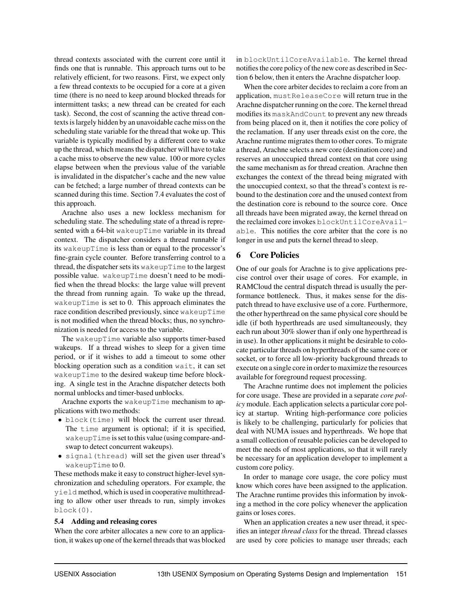thread contexts associated with the current core until it finds one that is runnable. This approach turns out to be relatively efficient, for two reasons. First, we expect only a few thread contexts to be occupied for a core at a given time (there is no need to keep around blocked threads for intermittent tasks; a new thread can be created for each task). Second, the cost of scanning the active thread contexts is largely hidden by an unavoidable cache miss on the scheduling state variable for the thread that woke up. This variable is typically modified by a different core to wake up the thread, which means the dispatcher will have to take a cache miss to observe the new value. 100 or more cycles elapse between when the previous value of the variable is invalidated in the dispatcher's cache and the new value can be fetched; a large number of thread contexts can be scanned during this time. Section 7.4 evaluates the cost of this approach.

Arachne also uses a new lockless mechanism for scheduling state. The scheduling state of a thread is represented with a 64-bit wakeupTime variable in its thread context. The dispatcher considers a thread runnable if its wakeupTime is less than or equal to the processor's fine-grain cycle counter. Before transferring control to a thread, the dispatcher sets its wakeupTime to the largest possible value. wakeupTime doesn't need to be modified when the thread blocks: the large value will prevent the thread from running again. To wake up the thread, wakeupTime is set to 0. This approach eliminates the race condition described previously, since wakeupTime is not modified when the thread blocks; thus, no synchronization is needed for access to the variable.

The wakeupTime variable also supports timer-based wakeups. If a thread wishes to sleep for a given time period, or if it wishes to add a timeout to some other blocking operation such as a condition wait, it can set wakeupTime to the desired wakeup time before blocking. A single test in the Arachne dispatcher detects both normal unblocks and timer-based unblocks.

Arachne exports the wakeupTime mechanism to applications with two methods:

- block(time) will block the current user thread. The time argument is optional; if it is specified, wakeupTime is set to this value (using compare-andswap to detect concurrent wakeups).
- signal(thread) will set the given user thread's wakeupTime to 0.

These methods make it easy to construct higher-level synchronization and scheduling operators. For example, the yield method, which is used in cooperative multithreading to allow other user threads to run, simply invokes block(0).

#### 5.4 Adding and releasing cores

When the core arbiter allocates a new core to an application, it wakes up one of the kernel threads that was blocked in blockUntilCoreAvailable. The kernel thread notifies the core policy of the new core as described in Section 6 below, then it enters the Arachne dispatcher loop.

When the core arbiter decides to reclaim a core from an application, mustReleaseCore will return true in the Arachne dispatcher running on the core. The kernel thread modifies its maskAndCount to prevent any new threads from being placed on it, then it notifies the core policy of the reclamation. If any user threads exist on the core, the Arachne runtime migrates them to other cores. To migrate a thread, Arachne selects a new core (destination core) and reserves an unoccupied thread context on that core using the same mechanism as for thread creation. Arachne then exchanges the context of the thread being migrated with the unoccupied context, so that the thread's context is rebound to the destination core and the unused context from the destination core is rebound to the source core. Once all threads have been migrated away, the kernel thread on the reclaimed core invokes blockUntilCoreAvailable. This notifies the core arbiter that the core is no longer in use and puts the kernel thread to sleep.

## 6 Core Policies

One of our goals for Arachne is to give applications precise control over their usage of cores. For example, in RAMCloud the central dispatch thread is usually the performance bottleneck. Thus, it makes sense for the dispatch thread to have exclusive use of a core. Furthermore, the other hyperthread on the same physical core should be idle (if both hyperthreads are used simultaneously, they each run about 30% slower than if only one hyperthread is in use). In other applications it might be desirable to colocate particular threads on hyperthreads of the same core or socket, or to force all low-priority background threads to execute on a single core in order to maximize the resources available for foreground request processing.

The Arachne runtime does not implement the policies for core usage. These are provided in a separate *core policy* module. Each application selects a particular core policy at startup. Writing high-performance core policies is likely to be challenging, particularly for policies that deal with NUMA issues and hyperthreads. We hope that a small collection of reusable policies can be developed to meet the needs of most applications, so that it will rarely be necessary for an application developer to implement a custom core policy.

In order to manage core usage, the core policy must know which cores have been assigned to the application. The Arachne runtime provides this information by invoking a method in the core policy whenever the application gains or loses cores.

When an application creates a new user thread, it specifies an integer *thread class* for the thread. Thread classes are used by core policies to manage user threads; each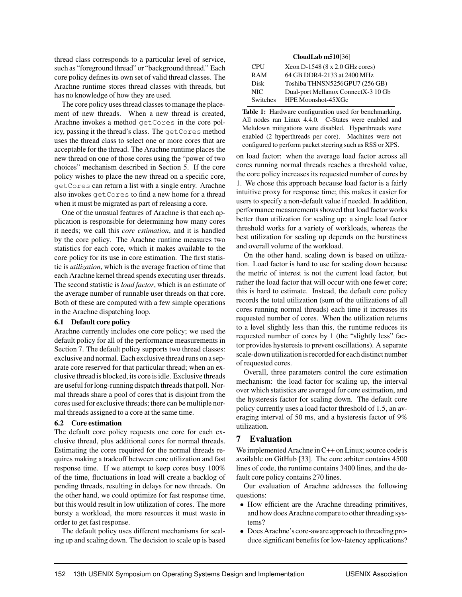thread class corresponds to a particular level of service, such as "foreground thread" or "background thread." Each core policy defines its own set of valid thread classes. The Arachne runtime stores thread classes with threads, but has no knowledge of how they are used.

The core policy uses thread classes to manage the placement of new threads. When a new thread is created, Arachne invokes a method getCores in the core policy, passing it the thread's class. The getCores method uses the thread class to select one or more cores that are acceptable for the thread. The Arachne runtime places the new thread on one of those cores using the "power of two choices" mechanism described in Section 5. If the core policy wishes to place the new thread on a specific core, getCores can return a list with a single entry. Arachne also invokes getCores to find a new home for a thread when it must be migrated as part of releasing a core.

One of the unusual features of Arachne is that each application is responsible for determining how many cores it needs; we call this *core estimation*, and it is handled by the core policy. The Arachne runtime measures two statistics for each core, which it makes available to the core policy for its use in core estimation. The first statistic is *utilization*, which is the average fraction of time that each Arachne kernel thread spends executing user threads. The second statistic is *load factor*, which is an estimate of the average number of runnable user threads on that core. Both of these are computed with a few simple operations in the Arachne dispatching loop.

#### 6.1 Default core policy

Arachne currently includes one core policy; we used the default policy for all of the performance measurements in Section 7. The default policy supports two thread classes: exclusive and normal. Each exclusive thread runs on a separate core reserved for that particular thread; when an exclusive thread is blocked, its core is idle. Exclusive threads are useful for long-running dispatch threads that poll. Normal threads share a pool of cores that is disjoint from the cores used for exclusive threads; there can be multiple normal threads assigned to a core at the same time.

#### 6.2 Core estimation

The default core policy requests one core for each exclusive thread, plus additional cores for normal threads. Estimating the cores required for the normal threads requires making a tradeoff between core utilization and fast response time. If we attempt to keep cores busy 100% of the time, fluctuations in load will create a backlog of pending threads, resulting in delays for new threads. On the other hand, we could optimize for fast response time, but this would result in low utilization of cores. The more bursty a workload, the more resources it must waste in order to get fast response.

The default policy uses different mechanisms for scaling up and scaling down. The decision to scale up is based

| CloudLab $m510[36]$ |                                     |  |  |  |  |  |  |
|---------------------|-------------------------------------|--|--|--|--|--|--|
| <b>CPU</b>          | Xeon D-1548 (8 x 2.0 GHz cores)     |  |  |  |  |  |  |
| <b>RAM</b>          | 64 GB DDR4-2133 at 2400 MHz         |  |  |  |  |  |  |
| Disk                | Toshiba THNSN5256GPU7 (256 GB)      |  |  |  |  |  |  |
| NIC.                | Dual-port Mellanox ConnectX-3 10 Gb |  |  |  |  |  |  |
| <b>Switches</b>     | HPE Moonshot-45XGc                  |  |  |  |  |  |  |

Table 1: Hardware configuration used for benchmarking. All nodes ran Linux 4.4.0. C-States were enabled and Meltdown mitigations were disabled. Hyperthreads were enabled (2 hyperthreads per core). Machines were not configured to perform packet steering such as RSS or XPS.

on load factor: when the average load factor across all cores running normal threads reaches a threshold value, the core policy increases its requested number of cores by 1. We chose this approach because load factor is a fairly intuitive proxy for response time; this makes it easier for users to specify a non-default value if needed. In addition, performance measurements showed that load factor works better than utilization for scaling up: a single load factor threshold works for a variety of workloads, whereas the best utilization for scaling up depends on the burstiness and overall volume of the workload.

On the other hand, scaling down is based on utilization. Load factor is hard to use for scaling down because the metric of interest is not the current load factor, but rather the load factor that will occur with one fewer core; this is hard to estimate. Instead, the default core policy records the total utilization (sum of the utilizations of all cores running normal threads) each time it increases its requested number of cores. When the utilization returns to a level slightly less than this, the runtime reduces its requested number of cores by 1 (the "slightly less" factor provides hysteresis to prevent oscillations). A separate scale-down utilization is recorded for each distinct number of requested cores.

Overall, three parameters control the core estimation mechanism: the load factor for scaling up, the interval over which statistics are averaged for core estimation, and the hysteresis factor for scaling down. The default core policy currently uses a load factor threshold of 1.5, an averaging interval of 50 ms, and a hysteresis factor of 9% utilization.

## 7 Evaluation

We implemented Arachne in C++ on Linux; source code is available on GitHub [33]. The core arbiter contains 4500 lines of code, the runtime contains 3400 lines, and the default core policy contains 270 lines.

Our evaluation of Arachne addresses the following questions:

- How efficient are the Arachne threading primitives, and how does Arachne compare to other threading systems?
- Does Arachne's core-aware approach to threading produce significant benefits for low-latency applications?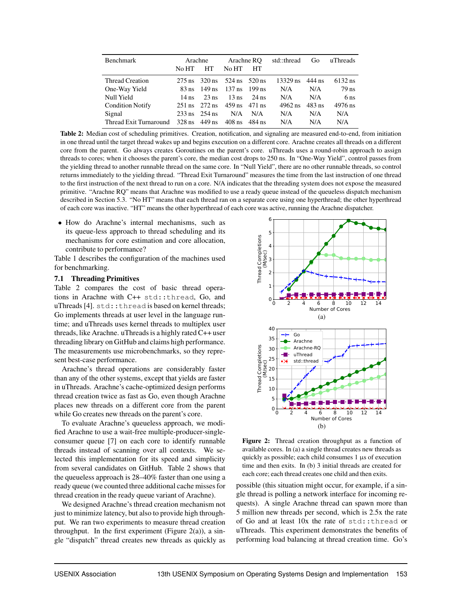| <b>Benchmark</b>        | Arachne<br>No HT<br><b>HT</b>     |                                   | Arachne RO<br>No HT<br>HT             |         | std::thread | Go       | uThreads        |
|-------------------------|-----------------------------------|-----------------------------------|---------------------------------------|---------|-------------|----------|-----------------|
| Thread Creation         |                                   |                                   | 275 ns $320 \text{ ns}$ 524 ns 520 ns |         | 13329 ns    | 444 ns   | 6132 ns         |
| One-Way Yield           | 83 ns                             |                                   | $149 \text{ ns}$ 137 ns 199 ns        |         | N/A         | N/A      | 79 ns           |
| Null Yield              | $14$ ns                           | $23$ ns                           | $13$ ns                               | $24$ ns | N/A         | N/A      | 6 <sub>ns</sub> |
| <b>Condition Notify</b> |                                   | $251 \text{ ns}$ $272 \text{ ns}$ | $459 \text{ ns}$ $471 \text{ ns}$     |         | $4962$ ns   | $483$ ns | 4976 ns         |
| Signal                  | $233 \text{ ns}$ $254 \text{ ns}$ |                                   | N/A                                   | N/A     | N/A         | N/A      | N/A             |
| Thread Exit Turnaround  |                                   | 328 ns $449$ ns                   | 408 ns                                | 484 ns  | N/A         | N/A      | N/A             |

Table 2: Median cost of scheduling primitives. Creation, notification, and signaling are measured end-to-end, from initiation in one thread until the target thread wakes up and begins execution on a different core. Arachne creates all threads on a different core from the parent. Go always creates Goroutines on the parent's core. uThreads uses a round-robin approach to assign threads to cores; when it chooses the parent's core, the median cost drops to 250 ns. In "One-Way Yield", control passes from the yielding thread to another runnable thread on the same core. In "Null Yield", there are no other runnable threads, so control returns immediately to the yielding thread. "Thread Exit Turnaround" measures the time from the last instruction of one thread to the first instruction of the next thread to run on a core. N/A indicates that the threading system does not expose the measured primitive. "Arachne RQ" means that Arachne was modified to use a ready queue instead of the queueless dispatch mechanism described in Section 5.3. "No HT" means that each thread ran on a separate core using one hyperthread; the other hyperthread of each core was inactive. "HT" means the other hyperthread of each core was active, running the Arachne dispatcher.

• How do Arachne's internal mechanisms, such as its queue-less approach to thread scheduling and its mechanisms for core estimation and core allocation, contribute to performance?

Table 1 describes the configuration of the machines used for benchmarking.

#### 7.1 Threading Primitives

Table 2 compares the cost of basic thread operations in Arachne with C++ std::thread, Go, and uThreads [4]. std::thread is based on kernel threads; Go implements threads at user level in the language runtime; and uThreads uses kernel threads to multiplex user threads, like Arachne. uThreads is a highly rated C++ user threading library on GitHub and claims high performance. The measurements use microbenchmarks, so they represent best-case performance.

Arachne's thread operations are considerably faster than any of the other systems, except that yields are faster in uThreads. Arachne's cache-optimized design performs thread creation twice as fast as Go, even though Arachne places new threads on a different core from the parent while Go creates new threads on the parent's core.

To evaluate Arachne's queueless approach, we modified Arachne to use a wait-free multiple-producer-singleconsumer queue [7] on each core to identify runnable threads instead of scanning over all contexts. We selected this implementation for its speed and simplicity from several candidates on GitHub. Table 2 shows that the queueless approach is 28–40% faster than one using a ready queue (we counted three additional cache misses for thread creation in the ready queue variant of Arachne).

We designed Arachne's thread creation mechanism not just to minimize latency, but also to provide high throughput. We ran two experiments to measure thread creation throughput. In the first experiment (Figure 2(a)), a single "dispatch" thread creates new threads as quickly as



Figure 2: Thread creation throughput as a function of available cores. In (a) a single thread creates new threads as quickly as possible; each child consumes 1 µs of execution time and then exits. In (b) 3 initial threads are created for each core; each thread creates one child and then exits.

possible (this situation might occur, for example, if a single thread is polling a network interface for incoming requests). A single Arachne thread can spawn more than 5 million new threads per second, which is 2.5x the rate of Go and at least 10x the rate of std::thread or uThreads. This experiment demonstrates the benefits of performing load balancing at thread creation time. Go's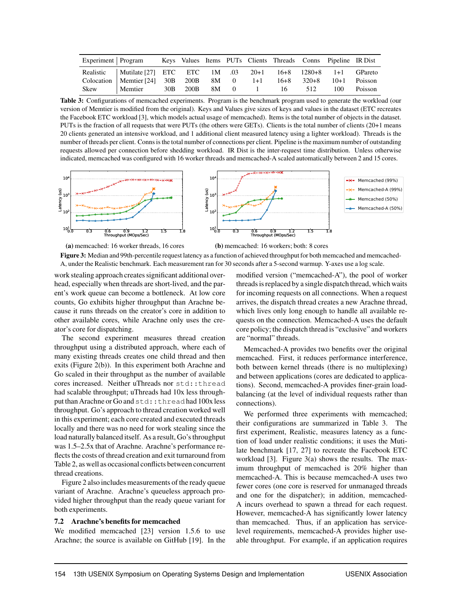| Experiment   Program |                                                                       |  |  |    |     | Keys Values Items PUTs Clients Threads Conns Pipeline IR Dist |         |
|----------------------|-----------------------------------------------------------------------|--|--|----|-----|---------------------------------------------------------------|---------|
|                      | Realistic   Mutilate [27] ETC ETC 1M .03 20+1 16+8 1280+8 1+1 GPareto |  |  |    |     |                                                               |         |
|                      | Colocation   Memtier $[24]$ 30B 200B 8M 0 1+1                         |  |  |    |     | $16+8$ $320+8$ $10+1$ Poisson                                 |         |
| Skew                 | Memtier 30B 200B 8M 0 1                                               |  |  | 16 | 512 | 100                                                           | Poisson |

Table 3: Configurations of memcached experiments. Program is the benchmark program used to generate the workload (our version of Memtier is modified from the original). Keys and Values give sizes of keys and values in the dataset (ETC recreates the Facebook ETC workload [3], which models actual usage of memcached). Items is the total number of objects in the dataset. PUTs is the fraction of all requests that were PUTs (the others were GETs). Clients is the total number of clients (20+1 means 20 clients generated an intensive workload, and 1 additional client measured latency using a lighter workload). Threads is the number of threads per client. Conns is the total number of connections per client. Pipeline is the maximum number of outstanding requests allowed per connection before shedding workload. IR Dist is the inter-request time distribution. Unless otherwise indicated, memcached was configured with 16 worker threads and memcached-A scaled automatically between 2 and 15 cores.



(a) memcached: 16 worker threads, 16 cores

(b) memcached: 16 workers; both: 8 cores

Figure 3: Median and 99th-percentile request latency as a function of achieved throughput for both memcached and memcached-A, under the Realistic benchmark. Each measurement ran for 30 seconds after a 5-second warmup. Y-axes use a log scale.

work stealing approach creates significant additional overhead, especially when threads are short-lived, and the parent's work queue can become a bottleneck. At low core counts, Go exhibits higher throughput than Arachne because it runs threads on the creator's core in addition to other available cores, while Arachne only uses the creator's core for dispatching.

The second experiment measures thread creation throughput using a distributed approach, where each of many existing threads creates one child thread and then exits (Figure 2(b)). In this experiment both Arachne and Go scaled in their throughput as the number of available cores increased. Neither uThreads nor std::thread had scalable throughput; uThreads had 10x less throughput than Arachne or Go and std::thread had 100x less throughput. Go's approach to thread creation worked well in this experiment; each core created and executed threads locally and there was no need for work stealing since the load naturally balanced itself. As a result, Go's throughput was 1.5–2.5x that of Arachne. Arachne's performance reflects the costs of thread creation and exit turnaround from Table 2, as well as occasional conflicts between concurrent thread creations.

Figure 2 also includes measurements of the ready queue variant of Arachne. Arachne's queueless approach provided higher throughput than the ready queue variant for both experiments.

## 7.2 Arachne's benefits for memcached

We modified memcached [23] version 1.5.6 to use Arachne; the source is available on GitHub [19]. In the modified version ("memcached-A"), the pool of worker threads is replaced by a single dispatch thread, which waits for incoming requests on all connections. When a request arrives, the dispatch thread creates a new Arachne thread, which lives only long enough to handle all available requests on the connection. Memcached-A uses the default core policy; the dispatch thread is "exclusive" and workers are "normal" threads.

Memcached-A provides two benefits over the original memcached. First, it reduces performance interference, both between kernel threads (there is no multiplexing) and between applications (cores are dedicated to applications). Second, memcached-A provides finer-grain loadbalancing (at the level of individual requests rather than connections).

We performed three experiments with memcached; their configurations are summarized in Table 3. The first experiment, Realistic, measures latency as a function of load under realistic conditions; it uses the Mutilate benchmark [17, 27] to recreate the Facebook ETC workload [3]. Figure 3(a) shows the results. The maximum throughput of memcached is 20% higher than memcached-A. This is because memcached-A uses two fewer cores (one core is reserved for unmanaged threads and one for the dispatcher); in addition, memcached-A incurs overhead to spawn a thread for each request. However, memcached-A has significantly lower latency than memcached. Thus, if an application has servicelevel requirements, memcached-A provides higher useable throughput. For example, if an application requires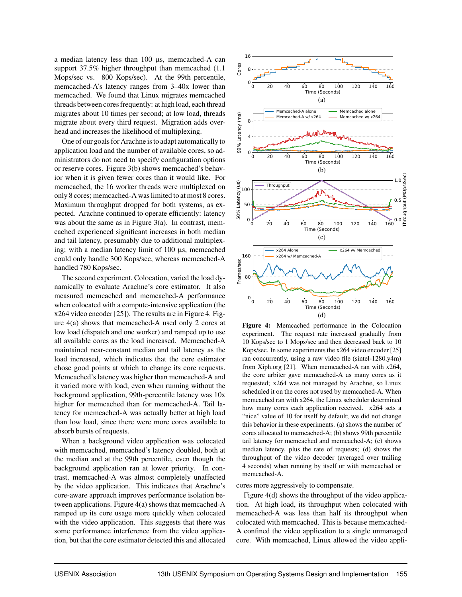a median latency less than 100 µs, memcached-A can support 37.5% higher throughput than memcached (1.1 Mops/sec vs. 800 Kops/sec). At the 99th percentile, memcached-A's latency ranges from 3–40x lower than memcached. We found that Linux migrates memcached threads between cores frequently: at high load, each thread migrates about 10 times per second; at low load, threads migrate about every third request. Migration adds overhead and increases the likelihood of multiplexing.

One of our goals for Arachne is to adapt automatically to application load and the number of available cores, so administrators do not need to specify configuration options or reserve cores. Figure 3(b) shows memcached's behavior when it is given fewer cores than it would like. For memcached, the 16 worker threads were multiplexed on only 8 cores; memcached-A was limited to at most 8 cores. Maximum throughput dropped for both systems, as expected. Arachne continued to operate efficiently: latency was about the same as in Figure  $3(a)$ . In contrast, memcached experienced significant increases in both median and tail latency, presumably due to additional multiplexing; with a median latency limit of 100 µs, memcached could only handle 300 Kops/sec, whereas memcached-A handled 780 Kops/sec.

The second experiment, Colocation, varied the load dynamically to evaluate Arachne's core estimator. It also measured memcached and memcached-A performance when colocated with a compute-intensive application (the x264 video encoder [25]). The results are in Figure 4. Figure 4(a) shows that memcached-A used only 2 cores at low load (dispatch and one worker) and ramped up to use all available cores as the load increased. Memcached-A maintained near-constant median and tail latency as the load increased, which indicates that the core estimator chose good points at which to change its core requests. Memcached's latency was higher than memcached-A and it varied more with load; even when running without the background application, 99th-percentile latency was 10x higher for memcached than for memcached-A. Tail latency for memcached-A was actually better at high load than low load, since there were more cores available to absorb bursts of requests.

When a background video application was colocated with memcached, memcached's latency doubled, both at the median and at the 99th percentile, even though the background application ran at lower priority. In contrast, memcached-A was almost completely unaffected by the video application. This indicates that Arachne's core-aware approach improves performance isolation between applications. Figure 4(a) shows that memcached-A ramped up its core usage more quickly when colocated with the video application. This suggests that there was some performance interference from the video application, but that the core estimator detected this and allocated



Figure 4: Memcached performance in the Colocation experiment. The request rate increased gradually from 10 Kops/sec to 1 Mops/sec and then decreased back to 10 Kops/sec. In some experiments the x264 video encoder [25] ran concurrently, using a raw video file (sintel-1280.y4m) from Xiph.org [21]. When memcached-A ran with x264, the core arbiter gave memcached-A as many cores as it requested; x264 was not managed by Arachne, so Linux scheduled it on the cores not used by memcached-A. When memcached ran with x264, the Linux scheduler determined how many cores each application received. x264 sets a "nice" value of 10 for itself by default; we did not change this behavior in these experiments. (a) shows the number of cores allocated to memcached-A; (b) shows 99th percentile tail latency for memcached and memcached-A; (c) shows median latency, plus the rate of requests; (d) shows the throughput of the video decoder (averaged over trailing 4 seconds) when running by itself or with memcached or memcached-A.

cores more aggressively to compensate.

Figure 4(d) shows the throughput of the video application. At high load, its throughput when colocated with memcached-A was less than half its throughput when colocated with memcached. This is because memcached-A confined the video application to a single unmanaged core. With memcached, Linux allowed the video appli-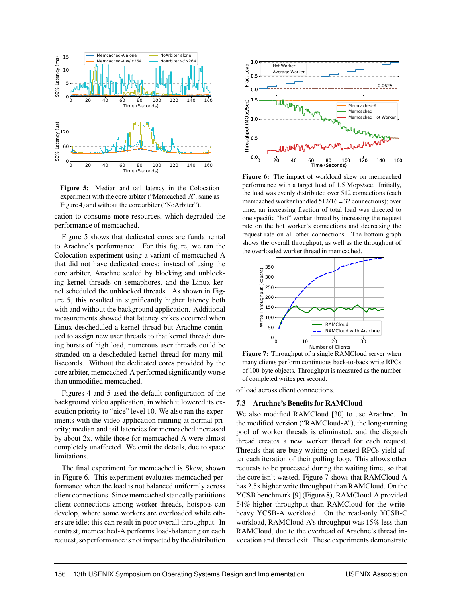

Figure 5: Median and tail latency in the Colocation experiment with the core arbiter ("Memcached-A", same as Figure 4) and without the core arbiter ("NoArbiter").

cation to consume more resources, which degraded the performance of memcached.

Figure 5 shows that dedicated cores are fundamental to Arachne's performance. For this figure, we ran the Colocation experiment using a variant of memcached-A that did not have dedicated cores: instead of using the core arbiter, Arachne scaled by blocking and unblocking kernel threads on semaphores, and the Linux kernel scheduled the unblocked threads. As shown in Figure 5, this resulted in significantly higher latency both with and without the background application. Additional measurements showed that latency spikes occurred when Linux descheduled a kernel thread but Arachne continued to assign new user threads to that kernel thread; during bursts of high load, numerous user threads could be stranded on a descheduled kernel thread for many milliseconds. Without the dedicated cores provided by the core arbiter, memcached-A performed significantly worse than unmodified memcached.

Figures 4 and 5 used the default configuration of the background video application, in which it lowered its execution priority to "nice" level 10. We also ran the experiments with the video application running at normal priority; median and tail latencies for memcached increased by about 2x, while those for memcached-A were almost completely unaffected. We omit the details, due to space limitations.

The final experiment for memcached is Skew, shown in Figure 6. This experiment evaluates memcached performance when the load is not balanced uniformly across client connections. Since memcached statically parititions client connections among worker threads, hotspots can develop, where some workers are overloaded while others are idle; this can result in poor overall throughput. In contrast, memcached-A performs load-balancing on each request, so performance is not impacted by the distribution



Figure 6: The impact of workload skew on memcached performance with a target load of 1.5 Mops/sec. Initially, the load was evenly distributed over 512 connections (each memcached worker handled 512/16 = 32 connections); over time, an increasing fraction of total load was directed to one specific "hot" worker thread by increasing the request rate on the hot worker's connections and decreasing the request rate on all other connections. The bottom graph shows the overall throughput, as well as the throughput of the overloaded worker thread in memcached.



Figure 7: Throughput of a single RAMCloud server when many clients perform continuous back-to-back write RPCs of 100-byte objects. Throughput is measured as the number of completed writes per second.

of load across client connections.

#### 7.3 Arachne's Benefits for RAMCloud

We also modified RAMCloud [30] to use Arachne. In the modified version ("RAMCloud-A"), the long-running pool of worker threads is eliminated, and the dispatch thread creates a new worker thread for each request. Threads that are busy-waiting on nested RPCs yield after each iteration of their polling loop. This allows other requests to be processed during the waiting time, so that the core isn't wasted. Figure 7 shows that RAMCloud-A has 2.5x higher write throughput than RAMCloud. On the YCSB benchmark [9] (Figure 8), RAMCloud-A provided 54% higher throughput than RAMCloud for the writeheavy YCSB-A workload. On the read-only YCSB-C workload, RAMCloud-A's throughput was 15% less than RAMCloud, due to the overhead of Arachne's thread invocation and thread exit. These experiments demonstrate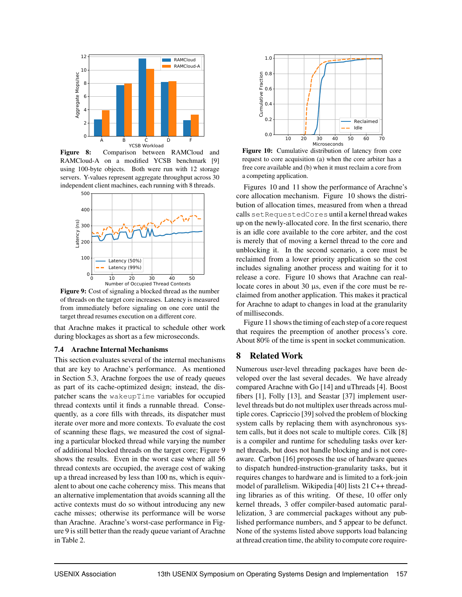

Figure 8: Comparison between RAMCloud and RAMCloud-A on a modified YCSB benchmark [9] using 100-byte objects. Both were run with 12 storage servers. Y-values represent aggregate throughput across 30 independent client machines, each running with 8 threads.



Figure 9: Cost of signaling a blocked thread as the number of threads on the target core increases. Latency is measured from immediately before signaling on one core until the target thread resumes execution on a different core.

that Arachne makes it practical to schedule other work during blockages as short as a few microseconds.

#### 7.4 Arachne Internal Mechanisms

This section evaluates several of the internal mechanisms that are key to Arachne's performance. As mentioned in Section 5.3, Arachne forgoes the use of ready queues as part of its cache-optimized design; instead, the dispatcher scans the wakeupTime variables for occupied thread contexts until it finds a runnable thread. Consequently, as a core fills with threads, its dispatcher must iterate over more and more contexts. To evaluate the cost of scanning these flags, we measured the cost of signaling a particular blocked thread while varying the number of additional blocked threads on the target core; Figure 9 shows the results. Even in the worst case where all 56 thread contexts are occupied, the average cost of waking up a thread increased by less than 100 ns, which is equivalent to about one cache coherency miss. This means that an alternative implementation that avoids scanning all the active contexts must do so without introducing any new cache misses; otherwise its performance will be worse than Arachne. Arachne's worst-case performance in Figure 9 is still better than the ready queue variant of Arachne in Table 2.



Figure 10: Cumulative distribution of latency from core request to core acquisition (a) when the core arbiter has a free core available and (b) when it must reclaim a core from a competing application.

Figures 10 and 11 show the performance of Arachne's core allocation mechanism. Figure 10 shows the distribution of allocation times, measured from when a thread calls setRequestedCores until a kernel thread wakes up on the newly-allocated core. In the first scenario, there is an idle core available to the core arbiter, and the cost is merely that of moving a kernel thread to the core and unblocking it. In the second scenario, a core must be reclaimed from a lower priority application so the cost includes signaling another process and waiting for it to release a core. Figure 10 shows that Arachne can reallocate cores in about 30 µs, even if the core must be reclaimed from another application. This makes it practical for Arachne to adapt to changes in load at the granularity of milliseconds.

Figure 11 shows the timing of each step of a core request that requires the preemption of another process's core. About 80% of the time is spent in socket communication.

## 8 Related Work

Numerous user-level threading packages have been developed over the last several decades. We have already compared Arachne with Go [14] and uThreads [4]. Boost fibers [1], Folly [13], and Seastar [37] implement userlevel threads but do not multiplex user threads across multiple cores. Capriccio [39] solved the problem of blocking system calls by replacing them with asynchronous system calls, but it does not scale to multiple cores. Cilk [8] is a compiler and runtime for scheduling tasks over kernel threads, but does not handle blocking and is not coreaware. Carbon [16] proposes the use of hardware queues to dispatch hundred-instruction-granularity tasks, but it requires changes to hardware and is limited to a fork-join model of parallelism. Wikipedia [40] lists 21 C++ threading libraries as of this writing. Of these, 10 offer only kernel threads, 3 offer compiler-based automatic parallelization, 3 are commercial packages without any published performance numbers, and 5 appear to be defunct. None of the systems listed above supports load balancing at thread creation time, the ability to compute core require-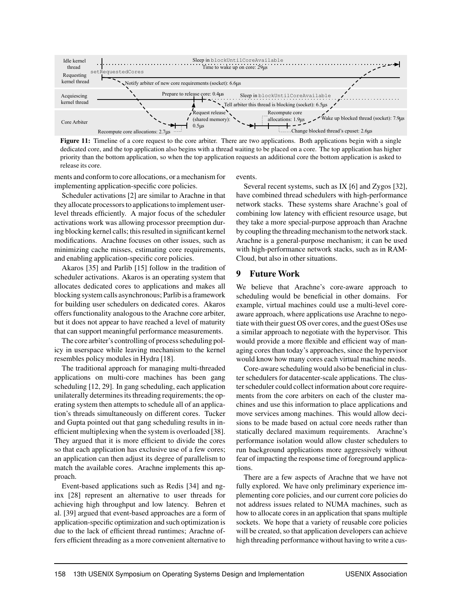

Figure 11: Timeline of a core request to the core arbiter. There are two applications. Both applications begin with a single dedicated core, and the top application also begins with a thread waiting to be placed on a core. The top application has higher priority than the bottom application, so when the top application requests an additional core the bottom application is asked to release its core.

ments and conform to core allocations, or a mechanism for implementing application-specific core policies.

Scheduler activations [2] are similar to Arachne in that they allocate processors to applications to implement userlevel threads efficiently. A major focus of the scheduler activations work was allowing processor preemption during blocking kernel calls; this resulted in significant kernel modifications. Arachne focuses on other issues, such as minimizing cache misses, estimating core requirements, and enabling application-specific core policies.

Akaros [35] and Parlib [15] follow in the tradition of scheduler activations. Akaros is an operating system that allocates dedicated cores to applications and makes all blocking system calls asynchronous; Parlib is a framework for building user schedulers on dedicated cores. Akaros offers functionality analogous to the Arachne core arbiter, but it does not appear to have reached a level of maturity that can support meaningful performance measurements.

The core arbiter's controlling of process scheduling policy in userspace while leaving mechanism to the kernel resembles policy modules in Hydra [18].

The traditional approach for managing multi-threaded applications on multi-core machines has been gang scheduling [12, 29]. In gang scheduling, each application unilaterally determines its threading requirements; the operating system then attempts to schedule all of an application's threads simultaneously on different cores. Tucker and Gupta pointed out that gang scheduling results in inefficient multiplexing when the system is overloaded [38]. They argued that it is more efficient to divide the cores so that each application has exclusive use of a few cores; an application can then adjust its degree of parallelism to match the available cores. Arachne implements this approach.

Event-based applications such as Redis [34] and nginx [28] represent an alternative to user threads for achieving high throughput and low latency. Behren et al. [39] argued that event-based approaches are a form of application-specific optimization and such optimization is due to the lack of efficient thread runtimes; Arachne offers efficient threading as a more convenient alternative to

events.

Several recent systems, such as IX [6] and Zygos [32], have combined thread schedulers with high-performance network stacks. These systems share Arachne's goal of combining low latency with efficient resource usage, but they take a more special-purpose approach than Arachne by coupling the threading mechanism to the network stack. Arachne is a general-purpose mechanism; it can be used with high-performance network stacks, such as in RAM-Cloud, but also in other situations.

## 9 Future Work

We believe that Arachne's core-aware approach to scheduling would be beneficial in other domains. For example, virtual machines could use a multi-level coreaware approach, where applications use Arachne to negotiate with their guest OS over cores, and the guest OSes use a similar approach to negotiate with the hypervisor. This would provide a more flexible and efficient way of managing cores than today's approaches, since the hypervisor would know how many cores each virtual machine needs.

Core-aware scheduling would also be beneficial in cluster schedulers for datacenter-scale applications. The cluster scheduler could collect information about core requirements from the core arbiters on each of the cluster machines and use this information to place applications and move services among machines. This would allow decisions to be made based on actual core needs rather than statically declared maximum requirements. Arachne's performance isolation would allow cluster schedulers to run background applications more aggressively without fear of impacting the response time of foreground applications.

There are a few aspects of Arachne that we have not fully explored. We have only preliminary experience implementing core policies, and our current core policies do not address issues related to NUMA machines, such as how to allocate cores in an application that spans multiple sockets. We hope that a variety of reusable core policies will be created, so that application developers can achieve high threading performance without having to write a cus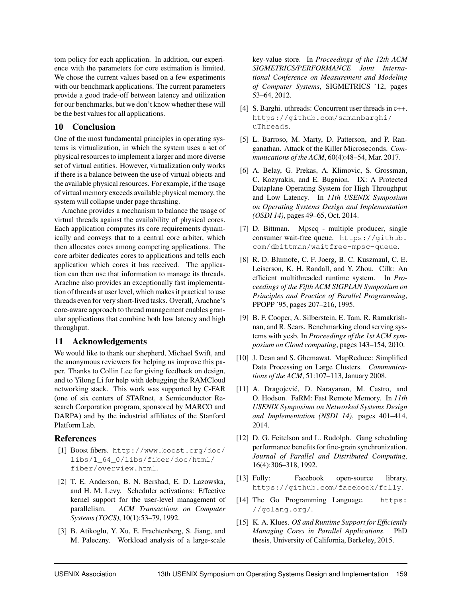tom policy for each application. In addition, our experience with the parameters for core estimation is limited. We chose the current values based on a few experiments with our benchmark applications. The current parameters provide a good trade-off between latency and utilization for our benchmarks, but we don't know whether these will be the best values for all applications.

## 10 Conclusion

One of the most fundamental principles in operating systems is virtualization, in which the system uses a set of physical resources to implement a larger and more diverse set of virtual entities. However, virtualization only works if there is a balance between the use of virtual objects and the available physical resources. For example, if the usage of virtual memory exceeds available physical memory, the system will collapse under page thrashing.

Arachne provides a mechanism to balance the usage of virtual threads against the availability of physical cores. Each application computes its core requirements dynamically and conveys that to a central core arbiter, which then allocates cores among competing applications. The core arbiter dedicates cores to applications and tells each application which cores it has received. The application can then use that information to manage its threads. Arachne also provides an exceptionally fast implementation of threads at user level, which makes it practical to use threads even for very short-lived tasks. Overall, Arachne's core-aware approach to thread management enables granular applications that combine both low latency and high throughput.

## 11 Acknowledgements

We would like to thank our shepherd, Michael Swift, and the anonymous reviewers for helping us improve this paper. Thanks to Collin Lee for giving feedback on design, and to Yilong Li for help with debugging the RAMCloud networking stack. This work was supported by C-FAR (one of six centers of STARnet, a Semiconductor Research Corporation program, sponsored by MARCO and DARPA) and by the industrial affiliates of the Stanford Platform Lab.

## References

- [1] Boost fibers. http://www.boost.org/doc/ libs/1\_64\_0/libs/fiber/doc/html/ fiber/overview.html.
- [2] T. E. Anderson, B. N. Bershad, E. D. Lazowska, and H. M. Levy. Scheduler activations: Effective kernel support for the user-level management of parallelism. *ACM Transactions on Computer Systems (TOCS)*, 10(1):53–79, 1992.
- [3] B. Atikoglu, Y. Xu, E. Frachtenberg, S. Jiang, and M. Paleczny. Workload analysis of a large-scale

key-value store. In *Proceedings of the 12th ACM SIGMETRICS/PERFORMANCE Joint International Conference on Measurement and Modeling of Computer Systems*, SIGMETRICS '12, pages 53–64, 2012.

- [4] S. Barghi. uthreads: Concurrent user threads in c++. https://github.com/samanbarghi/ uThreads.
- [5] L. Barroso, M. Marty, D. Patterson, and P. Ranganathan. Attack of the Killer Microseconds. *Communications of the ACM*, 60(4):48–54, Mar. 2017.
- [6] A. Belay, G. Prekas, A. Klimovic, S. Grossman, C. Kozyrakis, and E. Bugnion. IX: A Protected Dataplane Operating System for High Throughput and Low Latency. In *11th USENIX Symposium on Operating Systems Design and Implementation (OSDI 14)*, pages 49–65, Oct. 2014.
- [7] D. Bittman. Mpscq multiple producer, single consumer wait-free queue. https://github. com/dbittman/waitfree-mpsc-queue.
- [8] R. D. Blumofe, C. F. Joerg, B. C. Kuszmaul, C. E. Leiserson, K. H. Randall, and Y. Zhou. Cilk: An efficient multithreaded runtime system. In *Proceedings of the Fifth ACM SIGPLAN Symposium on Principles and Practice of Parallel Programming*, PPOPP '95, pages 207–216, 1995.
- [9] B. F. Cooper, A. Silberstein, E. Tam, R. Ramakrishnan, and R. Sears. Benchmarking cloud serving systems with ycsb. In *Proceedings of the 1st ACM symposium on Cloud computing*, pages 143–154, 2010.
- [10] J. Dean and S. Ghemawat. MapReduce: Simplified Data Processing on Large Clusters. *Communications of the ACM*, 51:107–113, January 2008.
- [11] A. Dragojević, D. Narayanan, M. Castro, and O. Hodson. FaRM: Fast Remote Memory. In *11th USENIX Symposium on Networked Systems Design and Implementation (NSDI 14)*, pages 401–414, 2014.
- [12] D. G. Feitelson and L. Rudolph. Gang scheduling performance benefits for fine-grain synchronization. *Journal of Parallel and Distributed Computing*, 16(4):306–318, 1992.
- [13] Folly: Facebook open-source library. https://github.com/facebook/folly.
- [14] The Go Programming Language. https: //golang.org/.
- [15] K. A. Klues. *OS and Runtime Support for Efficiently Managing Cores in Parallel Applications*. PhD thesis, University of California, Berkeley, 2015.